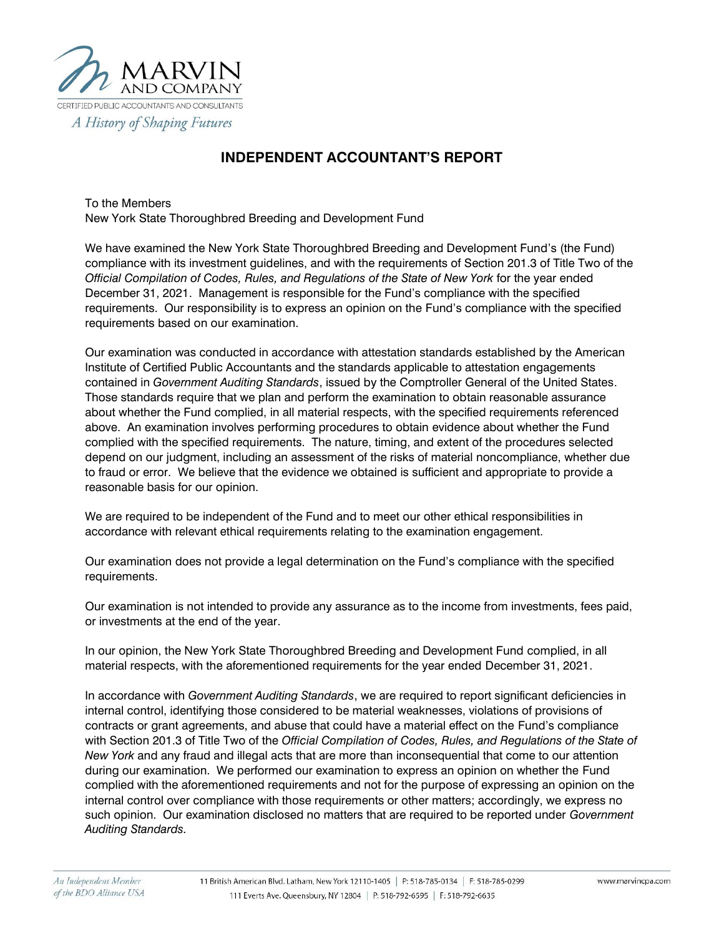

## **INDEPENDENT ACCOUNTANT'S REPORT**

To the Members New York State Thoroughbred Breeding and Development Fund

We have examined the New York State Thoroughbred Breeding and Development Fund's (the Fund) compliance with its investment guidelines, and with the requirements of Section 201.3 of Title Two of the *Official Compilation of Codes, Rules, and Regulations of the State of New York* for the year ended December 31, 2021. Management is responsible for the Fund's compliance with the specified requirements. Our responsibility is to express an opinion on the Fund's compliance with the specified requirements based on our examination.

Our examination was conducted in accordance with attestation standards established by the American Institute of Certified Public Accountants and the standards applicable to attestation engagements contained in *Government Auditing Standards*, issued by the Comptroller General of the United States. Those standards require that we plan and perform the examination to obtain reasonable assurance about whether the Fund complied, in all material respects, with the specified requirements referenced above. An examination involves performing procedures to obtain evidence about whether the Fund complied with the specified requirements. The nature, timing, and extent of the procedures selected depend on our judgment, including an assessment of the risks of material noncompliance, whether due to fraud or error. We believe that the evidence we obtained is sufficient and appropriate to provide a reasonable basis for our opinion.

We are required to be independent of the Fund and to meet our other ethical responsibilities in accordance with relevant ethical requirements relating to the examination engagement.

Our examination does not provide a legal determination on the Fund's compliance with the specified requirements.

Our examination is not intended to provide any assurance as to the income from investments, fees paid, or investments at the end of the year.

In our opinion, the New York State Thoroughbred Breeding and Development Fund complied, in all material respects, with the aforementioned requirements for the year ended December 31, 2021.

In accordance with *Government Auditing Standards*, we are required to report significant deficiencies in internal control, identifying those considered to be material weaknesses, violations of provisions of contracts or grant agreements, and abuse that could have a material effect on the Fund's compliance with Section 201.3 of Title Two of the *Official Compilation of Codes, Rules, and Regulations of the State of New York* and any fraud and illegal acts that are more than inconsequential that come to our attention during our examination. We performed our examination to express an opinion on whether the Fund complied with the aforementioned requirements and not for the purpose of expressing an opinion on the internal control over compliance with those requirements or other matters; accordingly, we express no such opinion. Our examination disclosed no matters that are required to be reported under *Government Auditing Standards.*